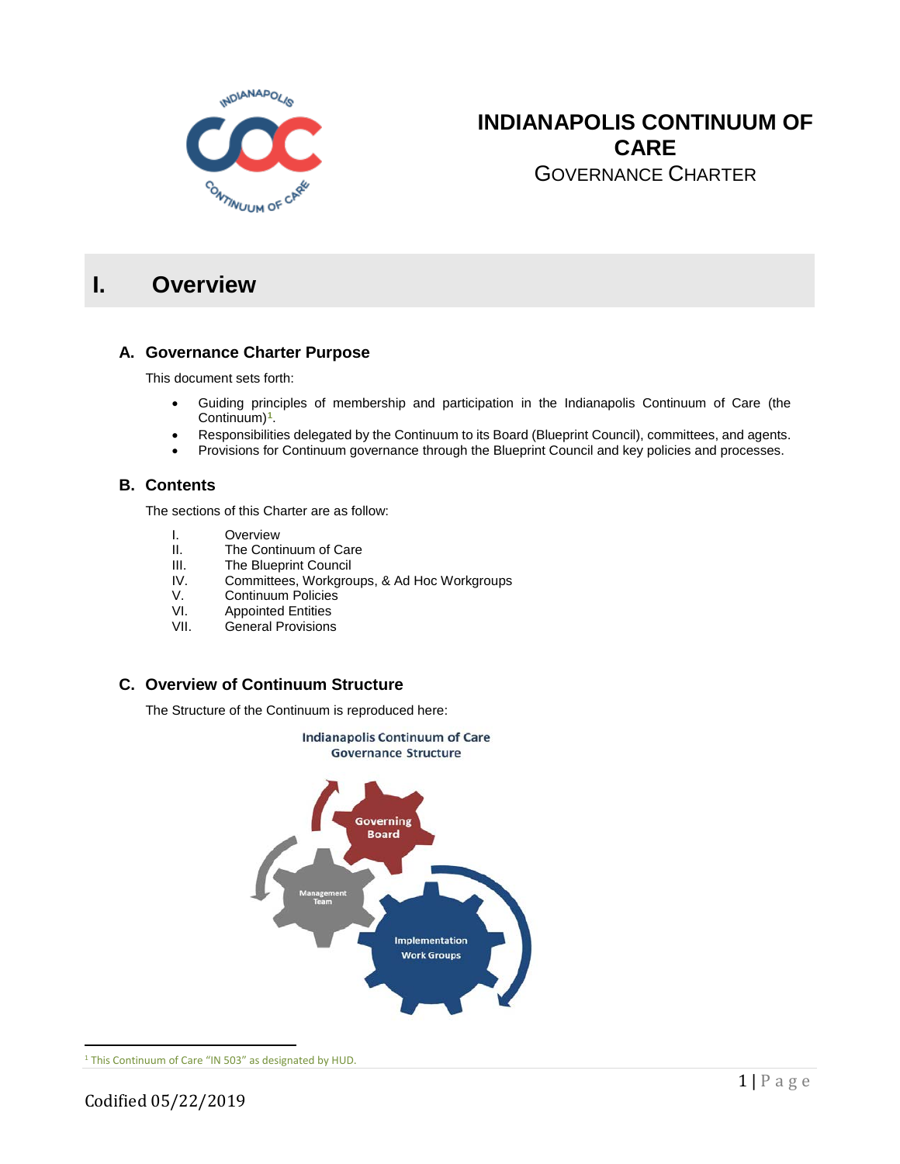

## **INDIANAPOLIS CONTINUUM OF CARE** GOVERNANCE CHARTER

# **I. Overview**

### **A. Governance Charter Purpose**

This document sets forth:

- Guiding principles of membership and participation in the Indianapolis Continuum of Care (the Continuum)**[1](#page-0-0)**.
- Responsibilities delegated by the Continuum to its Board (Blueprint Council), committees, and agents.
- Provisions for Continuum governance through the Blueprint Council and key policies and processes.

### **B. Contents**

The sections of this Charter are as follow:

- I. Overview<br>II. The Conti
- II. The Continuum of Care<br>III. The Blueprint Council
- III. The Blueprint Council<br>IV. Committees. Workaro
- Committees, Workgroups, & Ad Hoc Workgroups
- V. Continuum Policies<br>VI. Appointed Entities
- VI. Appointed Entities<br>VII. General Provisions
- General Provisions

## **C. Overview of Continuum Structure**

The Structure of the Continuum is reproduced here:



<span id="page-0-0"></span><sup>1</sup> This Continuum of Care "IN 503" as designated by HUD.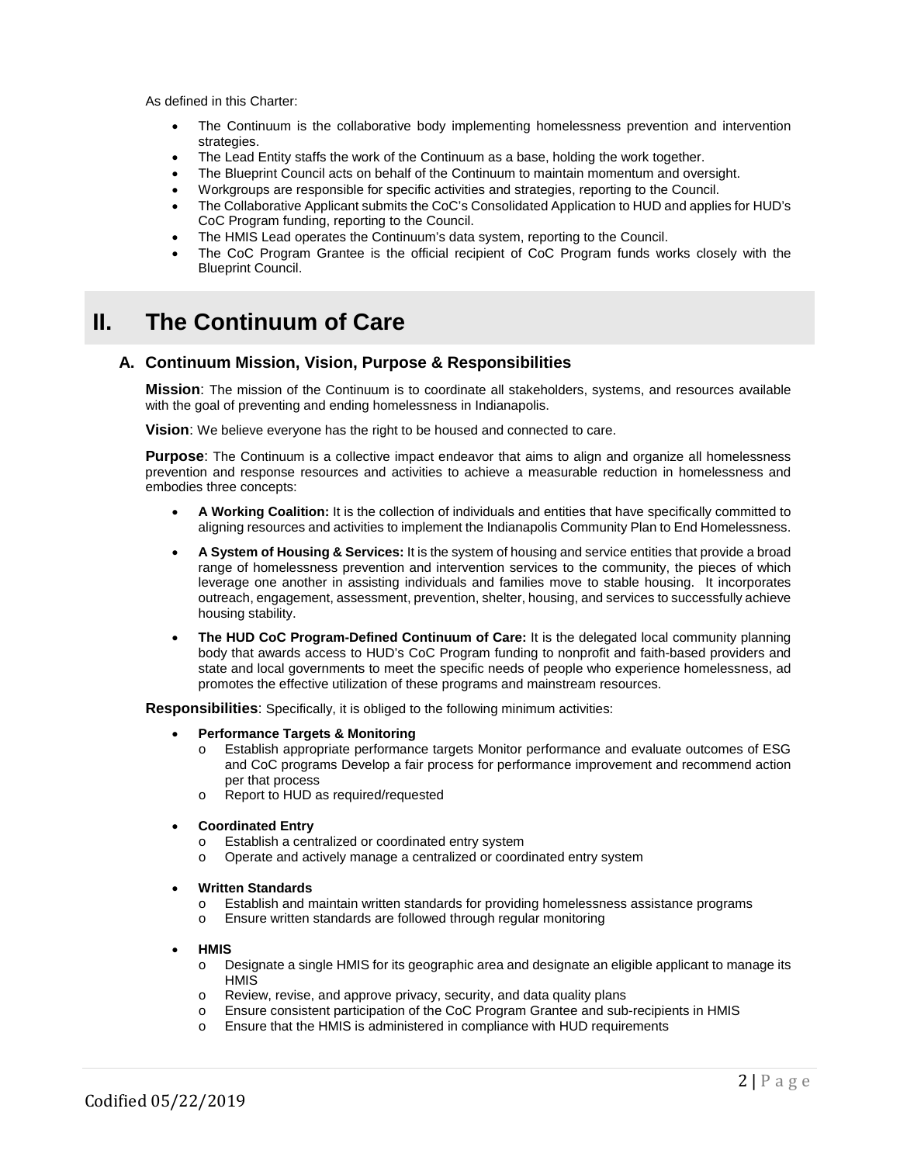As defined in this Charter:

- The Continuum is the collaborative body implementing homelessness prevention and intervention strategies.
- The Lead Entity staffs the work of the Continuum as a base, holding the work together.
- The Blueprint Council acts on behalf of the Continuum to maintain momentum and oversight.
- Workgroups are responsible for specific activities and strategies, reporting to the Council.
- The Collaborative Applicant submits the CoC's Consolidated Application to HUD and applies for HUD's CoC Program funding, reporting to the Council.
- The HMIS Lead operates the Continuum's data system, reporting to the Council.
- The CoC Program Grantee is the official recipient of CoC Program funds works closely with the Blueprint Council.

## **II. The Continuum of Care**

#### **A. Continuum Mission, Vision, Purpose & Responsibilities**

**Mission**: The mission of the Continuum is to coordinate all stakeholders, systems, and resources available with the goal of preventing and ending homelessness in Indianapolis.

**Vision**: We believe everyone has the right to be housed and connected to care.

**Purpose**: The Continuum is a collective impact endeavor that aims to align and organize all homelessness prevention and response resources and activities to achieve a measurable reduction in homelessness and embodies three concepts:

- **A Working Coalition:** It is the collection of individuals and entities that have specifically committed to aligning resources and activities to implement the Indianapolis Community Plan to End Homelessness.
- **A System of Housing & Services:** It is the system of housing and service entities that provide a broad range of homelessness prevention and intervention services to the community, the pieces of which leverage one another in assisting individuals and families move to stable housing. It incorporates outreach, engagement, assessment, prevention, shelter, housing, and services to successfully achieve housing stability.
- **The HUD CoC Program-Defined Continuum of Care:** It is the delegated local community planning body that awards access to HUD's CoC Program funding to nonprofit and faith-based providers and state and local governments to meet the specific needs of people who experience homelessness, ad promotes the effective utilization of these programs and mainstream resources.

**Responsibilities**: Specifically, it is obliged to the following minimum activities:

- **Performance Targets & Monitoring**
	- o Establish appropriate performance targets Monitor performance and evaluate outcomes of ESG and CoC programs Develop a fair process for performance improvement and recommend action per that process
	- o Report to HUD as required/requested
- **Coordinated Entry**
	- o Establish a centralized or coordinated entry system<br>
	o Operate and actively manage a centralized or coord
	- Operate and actively manage a centralized or coordinated entry system
- **Written Standards**
	- o Establish and maintain written standards for providing homelessness assistance programs<br> **Commun Ensure written standards are followed through regular monitoring**
	- Ensure written standards are followed through regular monitoring
- **HMIS**
	- o Designate a single HMIS for its geographic area and designate an eligible applicant to manage its HMIS
	- o Review, revise, and approve privacy, security, and data quality plans
	- o Ensure consistent participation of the CoC Program Grantee and sub-recipients in HMIS
	- o Ensure that the HMIS is administered in compliance with HUD requirements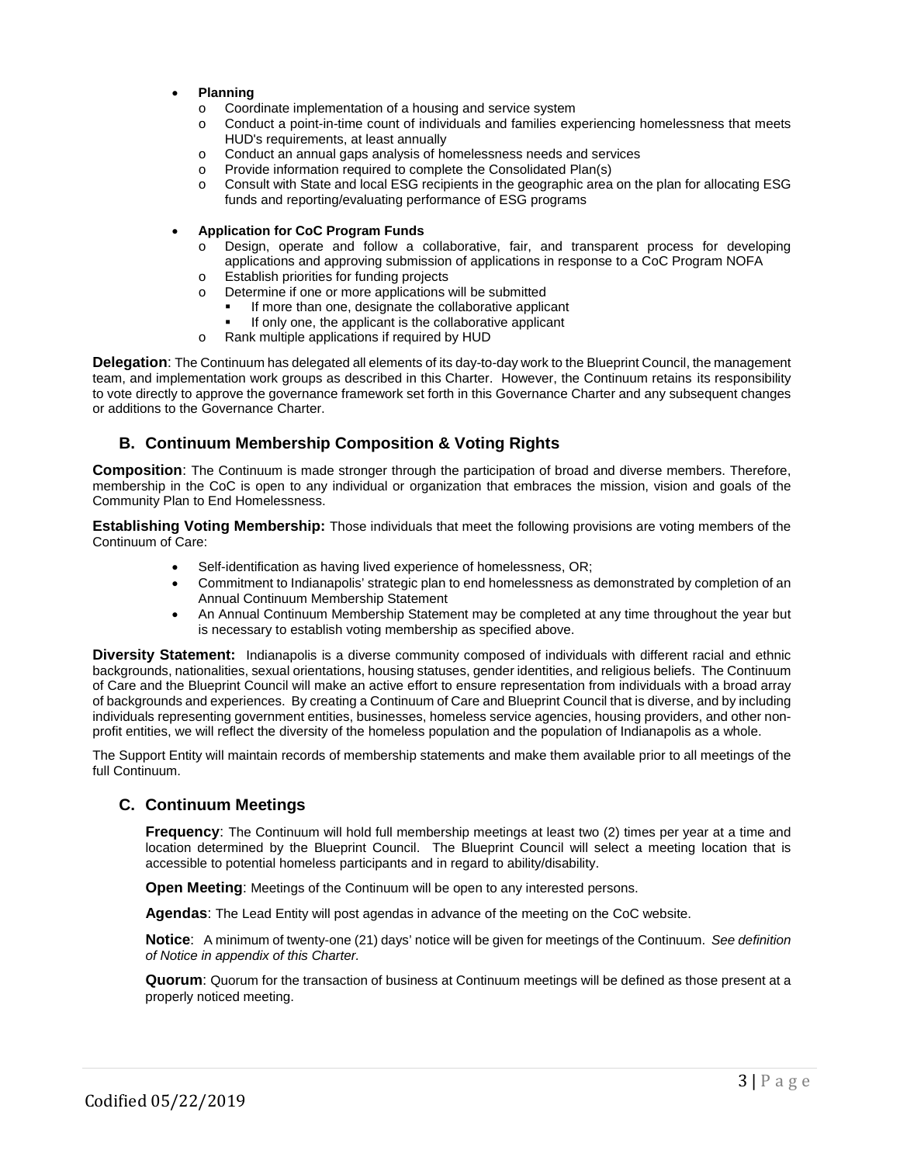- **Planning**
	- $\circ$  Coordinate implementation of a housing and service system  $\circ$  Conduct a point-in-time count of individuals and families exc
	- Conduct a point-in-time count of individuals and families experiencing homelessness that meets HUD's requirements, at least annually
	- o Conduct an annual gaps analysis of homelessness needs and services
	- o Provide information required to complete the Consolidated Plan(s)
	- o Consult with State and local ESG recipients in the geographic area on the plan for allocating ESG funds and reporting/evaluating performance of ESG programs

#### • **Application for CoC Program Funds**

- Design, operate and follow a collaborative, fair, and transparent process for developing applications and approving submission of applications in response to a CoC Program NOFA
- o Establish priorities for funding projects
- o Determine if one or more applications will be submitted
	- If more than one, designate the collaborative applicant
	- If only one, the applicant is the collaborative applicant
- o Rank multiple applications if required by HUD

**Delegation**: The Continuum has delegated all elements of its day-to-day work to the Blueprint Council, the management team, and implementation work groups as described in this Charter. However, the Continuum retains its responsibility to vote directly to approve the governance framework set forth in this Governance Charter and any subsequent changes or additions to the Governance Charter.

## **B. Continuum Membership Composition & Voting Rights**

**Composition**: The Continuum is made stronger through the participation of broad and diverse members. Therefore, membership in the CoC is open to any individual or organization that embraces the mission, vision and goals of the Community Plan to End Homelessness.

**Establishing Voting Membership:** Those individuals that meet the following provisions are voting members of the Continuum of Care:

- Self-identification as having lived experience of homelessness, OR;
- Commitment to Indianapolis' strategic plan to end homelessness as demonstrated by completion of an Annual Continuum Membership Statement
- An Annual Continuum Membership Statement may be completed at any time throughout the year but is necessary to establish voting membership as specified above.

**Diversity Statement:** Indianapolis is a diverse community composed of individuals with different racial and ethnic backgrounds, nationalities, sexual orientations, housing statuses, gender identities, and religious beliefs. The Continuum of Care and the Blueprint Council will make an active effort to ensure representation from individuals with a broad array of backgrounds and experiences. By creating a Continuum of Care and Blueprint Council that is diverse, and by including individuals representing government entities, businesses, homeless service agencies, housing providers, and other nonprofit entities, we will reflect the diversity of the homeless population and the population of Indianapolis as a whole.

The Support Entity will maintain records of membership statements and make them available prior to all meetings of the full Continuum.

### **C. Continuum Meetings**

**Frequency**: The Continuum will hold full membership meetings at least two (2) times per year at a time and location determined by the Blueprint Council. The Blueprint Council will select a meeting location that is accessible to potential homeless participants and in regard to ability/disability.

**Open Meeting:** Meetings of the Continuum will be open to any interested persons.

**Agendas**: The Lead Entity will post agendas in advance of the meeting on the CoC website.

**Notice**: A minimum of twenty-one (21) days' notice will be given for meetings of the Continuum. *See definition of Notice in appendix of this Charter.*

**Quorum**: Quorum for the transaction of business at Continuum meetings will be defined as those present at a properly noticed meeting.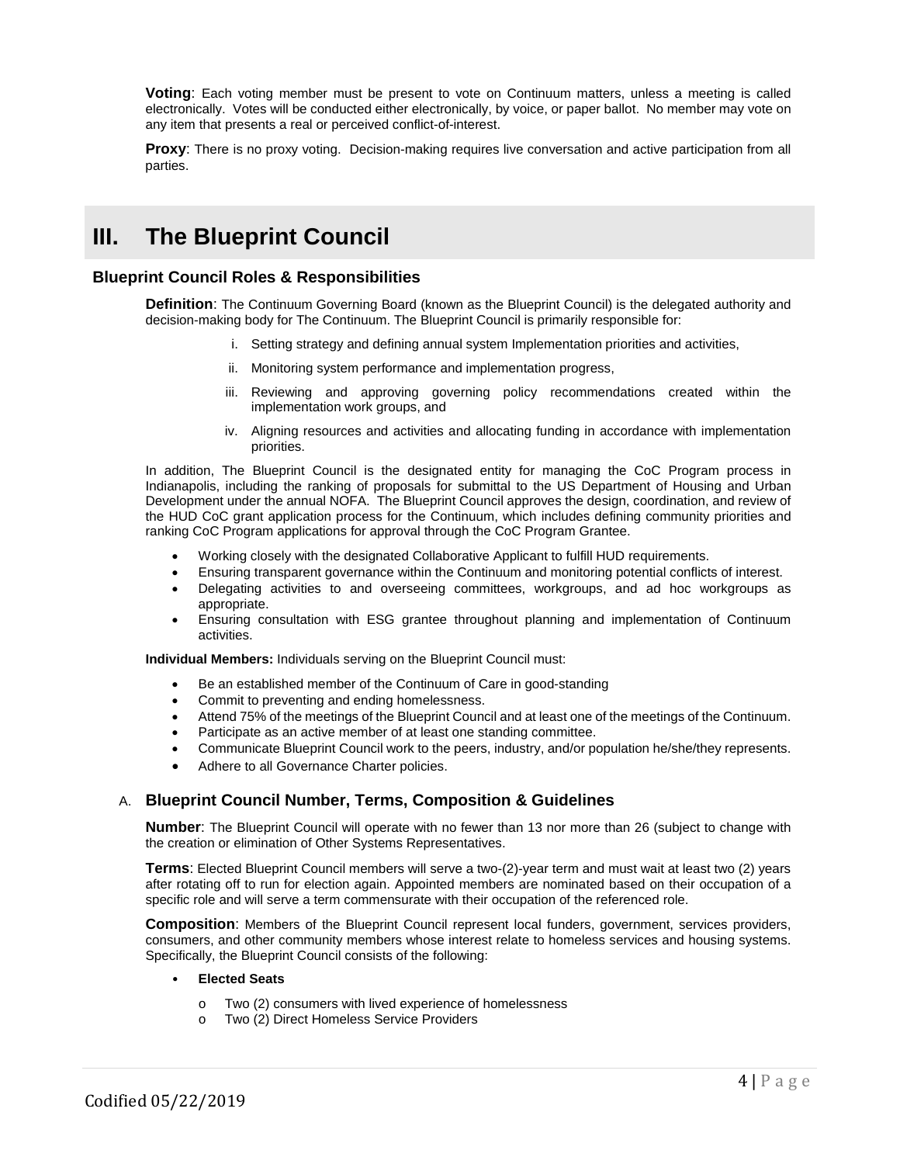**Voting**: Each voting member must be present to vote on Continuum matters, unless a meeting is called electronically. Votes will be conducted either electronically, by voice, or paper ballot. No member may vote on any item that presents a real or perceived conflict-of-interest.

**Proxy:** There is no proxy voting. Decision-making requires live conversation and active participation from all parties.

## **III. The Blueprint Council**

### **Blueprint Council Roles & Responsibilities**

**Definition**: The Continuum Governing Board (known as the Blueprint Council) is the delegated authority and decision-making body for The Continuum. The Blueprint Council is primarily responsible for:

- i. Setting strategy and defining annual system Implementation priorities and activities,
- ii. Monitoring system performance and implementation progress,
- iii. Reviewing and approving governing policy recommendations created within the implementation work groups, and
- iv. Aligning resources and activities and allocating funding in accordance with implementation priorities.

In addition, The Blueprint Council is the designated entity for managing the CoC Program process in Indianapolis, including the ranking of proposals for submittal to the US Department of Housing and Urban Development under the annual NOFA. The Blueprint Council approves the design, coordination, and review of the HUD CoC grant application process for the Continuum, which includes defining community priorities and ranking CoC Program applications for approval through the CoC Program Grantee.

- Working closely with the designated Collaborative Applicant to fulfill HUD requirements.
- Ensuring transparent governance within the Continuum and monitoring potential conflicts of interest.
- Delegating activities to and overseeing committees, workgroups, and ad hoc workgroups as appropriate.
- Ensuring consultation with ESG grantee throughout planning and implementation of Continuum activities.

**Individual Members:** Individuals serving on the Blueprint Council must:

- Be an established member of the Continuum of Care in good-standing
- Commit to preventing and ending homelessness.
- Attend 75% of the meetings of the Blueprint Council and at least one of the meetings of the Continuum.
- Participate as an active member of at least one standing committee.
- Communicate Blueprint Council work to the peers, industry, and/or population he/she/they represents.
- Adhere to all Governance Charter policies.

### A. **Blueprint Council Number, Terms, Composition & Guidelines**

**Number**: The Blueprint Council will operate with no fewer than 13 nor more than 26 (subject to change with the creation or elimination of Other Systems Representatives.

**Terms**: Elected Blueprint Council members will serve a two-(2)-year term and must wait at least two (2) years after rotating off to run for election again. Appointed members are nominated based on their occupation of a specific role and will serve a term commensurate with their occupation of the referenced role.

**Composition**: Members of the Blueprint Council represent local funders, government, services providers, consumers, and other community members whose interest relate to homeless services and housing systems. Specifically, the Blueprint Council consists of the following:

#### • **Elected Seats**

- o Two (2) consumers with lived experience of homelessness
- Two (2) Direct Homeless Service Providers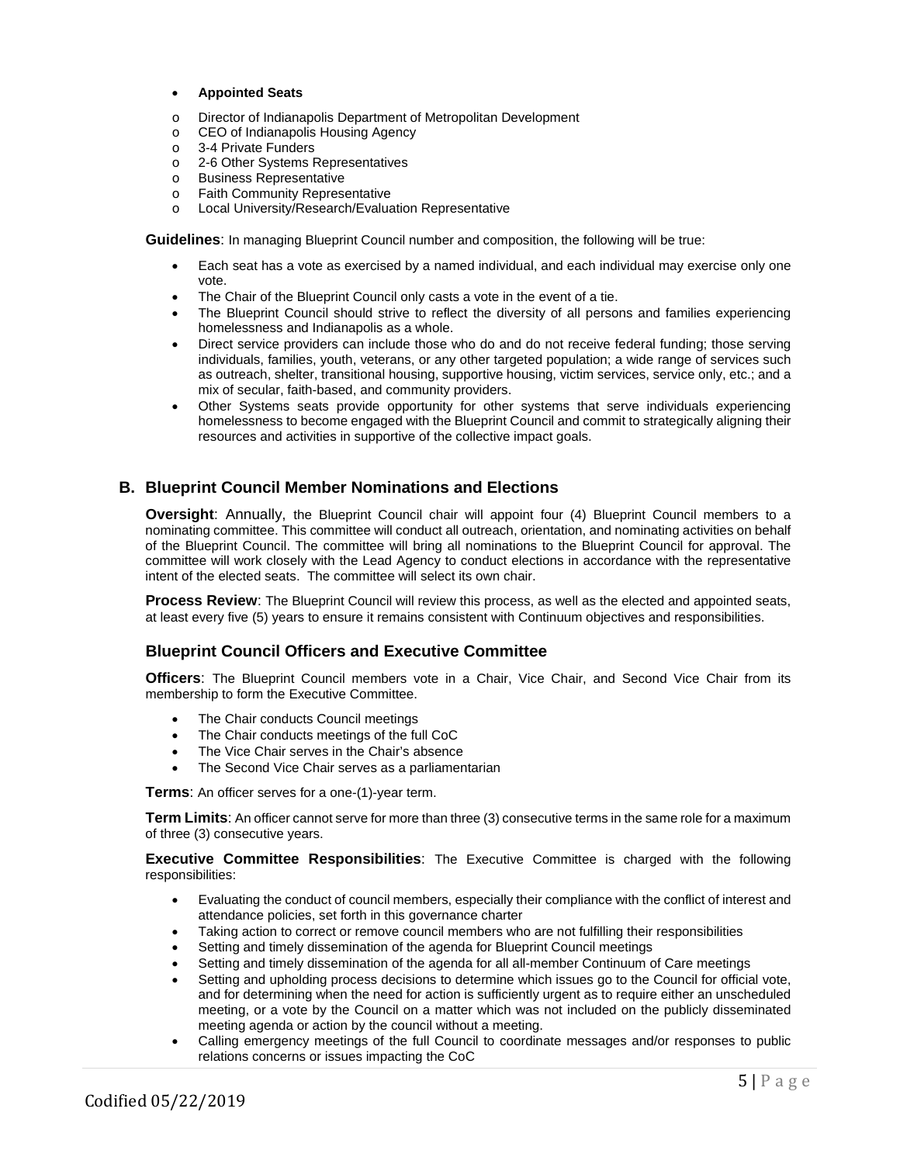#### • **Appointed Seats**

- o Director of Indianapolis Department of Metropolitan Development
- CEO of Indianapolis Housing Agency<br>○ 3-4 Private Funders
- o 3-4 Private Funders<br>
o 2-6 Other Systems I
- 2-6 Other Systems Representatives
- o Business Representative
- o Faith Community Representative<br>
o Local University/Research/Fyalua
- Local University/Research/Evaluation Representative

**Guidelines**: In managing Blueprint Council number and composition, the following will be true:

- Each seat has a vote as exercised by a named individual, and each individual may exercise only one vote.
- The Chair of the Blueprint Council only casts a vote in the event of a tie.
- The Blueprint Council should strive to reflect the diversity of all persons and families experiencing homelessness and Indianapolis as a whole.
- Direct service providers can include those who do and do not receive federal funding; those serving individuals, families, youth, veterans, or any other targeted population; a wide range of services such as outreach, shelter, transitional housing, supportive housing, victim services, service only, etc.; and a mix of secular, faith-based, and community providers.
- Other Systems seats provide opportunity for other systems that serve individuals experiencing homelessness to become engaged with the Blueprint Council and commit to strategically aligning their resources and activities in supportive of the collective impact goals.

### **B. Blueprint Council Member Nominations and Elections**

**Oversight**: Annually, the Blueprint Council chair will appoint four (4) Blueprint Council members to a nominating committee. This committee will conduct all outreach, orientation, and nominating activities on behalf of the Blueprint Council. The committee will bring all nominations to the Blueprint Council for approval. The committee will work closely with the Lead Agency to conduct elections in accordance with the representative intent of the elected seats. The committee will select its own chair.

**Process Review:** The Blueprint Council will review this process, as well as the elected and appointed seats, at least every five (5) years to ensure it remains consistent with Continuum objectives and responsibilities.

### **Blueprint Council Officers and Executive Committee**

**Officers**: The Blueprint Council members vote in a Chair, Vice Chair, and Second Vice Chair from its membership to form the Executive Committee.

- The Chair conducts Council meetings
- The Chair conducts meetings of the full CoC
- The Vice Chair serves in the Chair's absence
- The Second Vice Chair serves as a parliamentarian

**Terms**: An officer serves for a one-(1)-year term.

**Term Limits**: An officer cannot serve for more than three (3) consecutive terms in the same role for a maximum of three (3) consecutive years.

**Executive Committee Responsibilities**: The Executive Committee is charged with the following responsibilities:

- Evaluating the conduct of council members, especially their compliance with the conflict of interest and attendance policies, set forth in this governance charter
- Taking action to correct or remove council members who are not fulfilling their responsibilities
- Setting and timely dissemination of the agenda for Blueprint Council meetings
- Setting and timely dissemination of the agenda for all all-member Continuum of Care meetings
- Setting and upholding process decisions to determine which issues go to the Council for official vote, and for determining when the need for action is sufficiently urgent as to require either an unscheduled meeting, or a vote by the Council on a matter which was not included on the publicly disseminated meeting agenda or action by the council without a meeting.
- Calling emergency meetings of the full Council to coordinate messages and/or responses to public relations concerns or issues impacting the CoC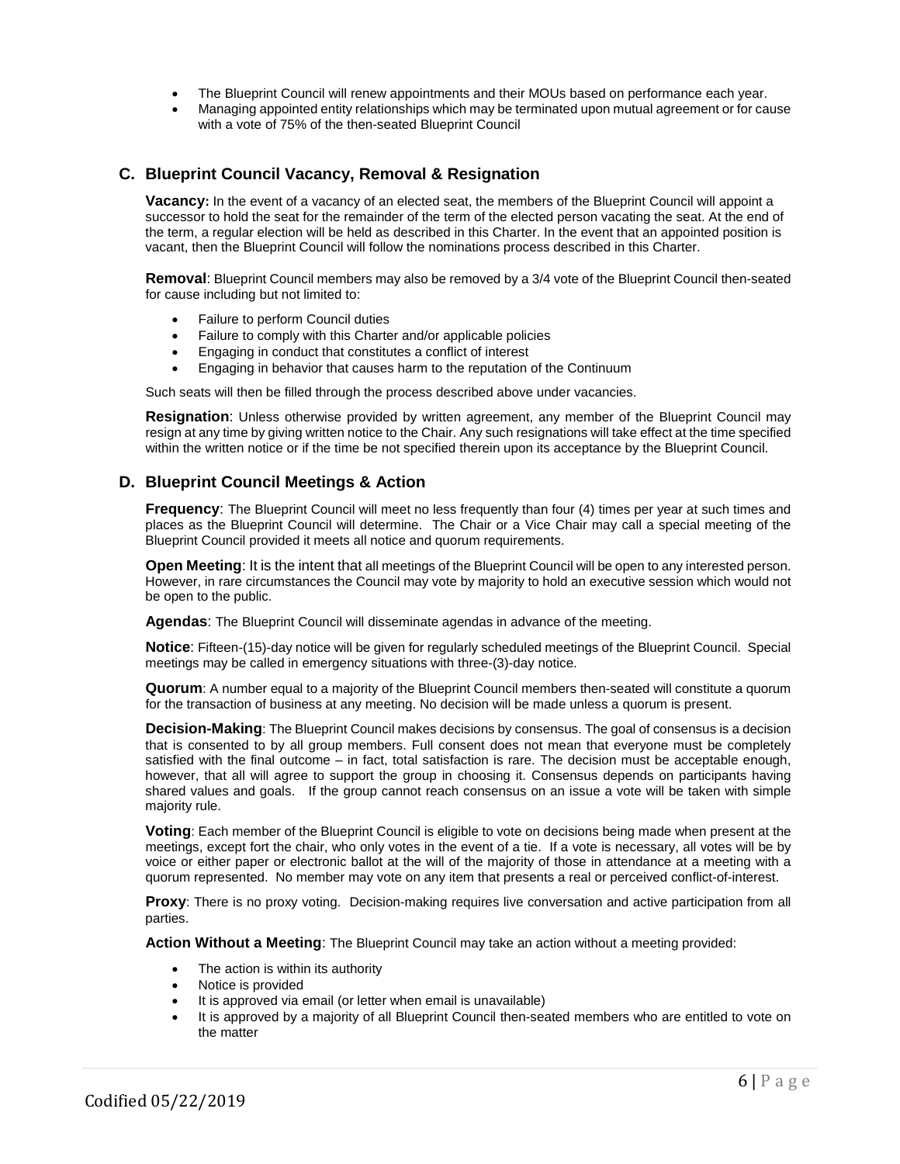- The Blueprint Council will renew appointments and their MOUs based on performance each year.
- Managing appointed entity relationships which may be terminated upon mutual agreement or for cause with a vote of 75% of the then-seated Blueprint Council

### **C. Blueprint Council Vacancy, Removal & Resignation**

**Vacancy:** In the event of a vacancy of an elected seat, the members of the Blueprint Council will appoint a successor to hold the seat for the remainder of the term of the elected person vacating the seat. At the end of the term, a regular election will be held as described in this Charter. In the event that an appointed position is vacant, then the Blueprint Council will follow the nominations process described in this Charter.

**Removal**: Blueprint Council members may also be removed by a 3/4 vote of the Blueprint Council then-seated for cause including but not limited to:

- Failure to perform Council duties
- Failure to comply with this Charter and/or applicable policies
- Engaging in conduct that constitutes a conflict of interest
- Engaging in behavior that causes harm to the reputation of the Continuum

Such seats will then be filled through the process described above under vacancies.

**Resignation**: Unless otherwise provided by written agreement, any member of the Blueprint Council may resign at any time by giving written notice to the Chair. Any such resignations will take effect at the time specified within the written notice or if the time be not specified therein upon its acceptance by the Blueprint Council.

### **D. Blueprint Council Meetings & Action**

**Frequency**: The Blueprint Council will meet no less frequently than four (4) times per year at such times and places as the Blueprint Council will determine. The Chair or a Vice Chair may call a special meeting of the Blueprint Council provided it meets all notice and quorum requirements.

**Open Meeting**: It is the intent that all meetings of the Blueprint Council will be open to any interested person. However, in rare circumstances the Council may vote by majority to hold an executive session which would not be open to the public.

**Agendas**: The Blueprint Council will disseminate agendas in advance of the meeting.

**Notice**: Fifteen-(15)-day notice will be given for regularly scheduled meetings of the Blueprint Council. Special meetings may be called in emergency situations with three-(3)-day notice.

**Quorum**: A number equal to a majority of the Blueprint Council members then-seated will constitute a quorum for the transaction of business at any meeting. No decision will be made unless a quorum is present.

**Decision-Making**: The Blueprint Council makes decisions by consensus. The goal of consensus is a decision that is consented to by all group members. Full consent does not mean that everyone must be completely satisfied with the final outcome – in fact, total satisfaction is rare. The decision must be acceptable enough, however, that all will agree to support the group in choosing it. Consensus depends on participants having shared values and goals. If the group cannot reach consensus on an issue a vote will be taken with simple majority rule.

**Voting**: Each member of the Blueprint Council is eligible to vote on decisions being made when present at the meetings, except fort the chair, who only votes in the event of a tie. If a vote is necessary, all votes will be by voice or either paper or electronic ballot at the will of the majority of those in attendance at a meeting with a quorum represented. No member may vote on any item that presents a real or perceived conflict-of-interest.

**Proxy**: There is no proxy voting. Decision-making requires live conversation and active participation from all parties.

**Action Without a Meeting**: The Blueprint Council may take an action without a meeting provided:

- The action is within its authority
- Notice is provided
- It is approved via email (or letter when email is unavailable)
- It is approved by a majority of all Blueprint Council then-seated members who are entitled to vote on the matter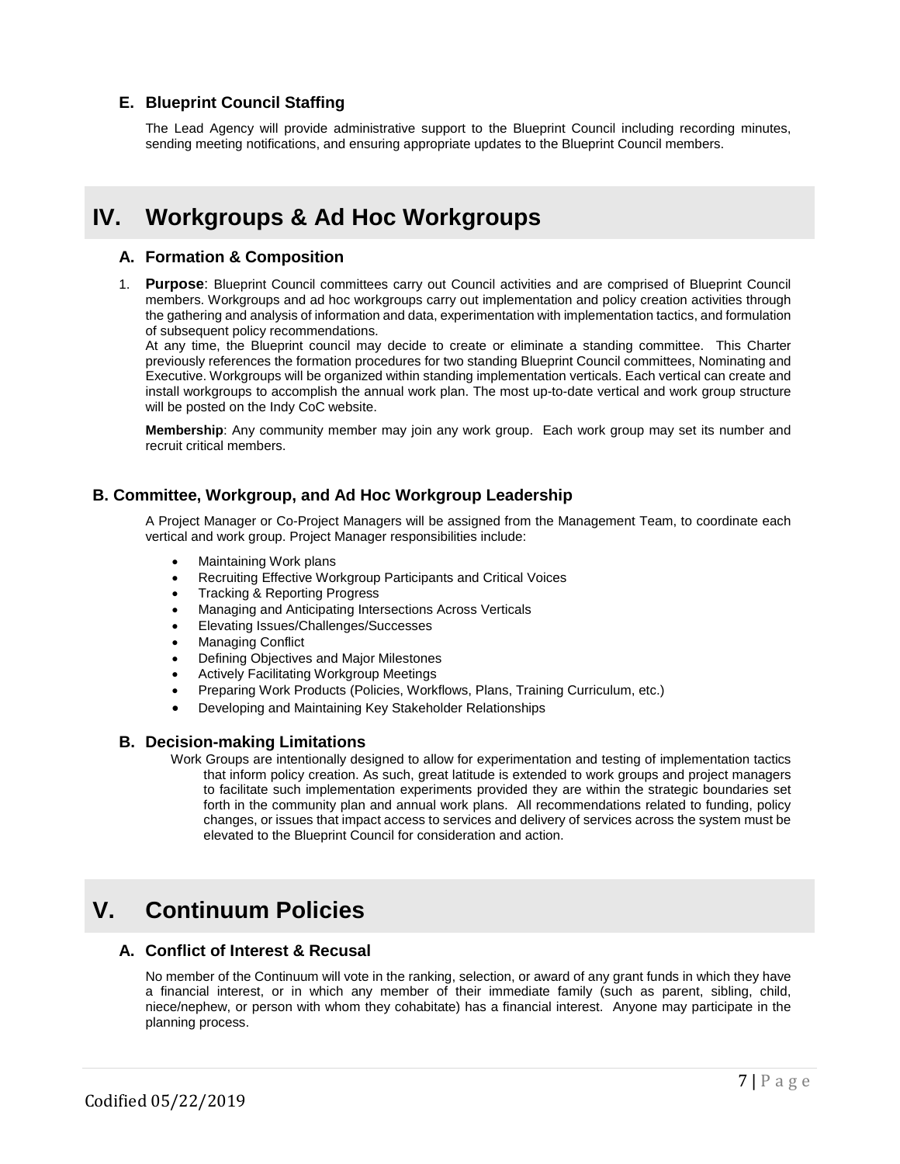## **E. Blueprint Council Staffing**

The Lead Agency will provide administrative support to the Blueprint Council including recording minutes, sending meeting notifications, and ensuring appropriate updates to the Blueprint Council members.

# **IV. Workgroups & Ad Hoc Workgroups**

### **A. Formation & Composition**

1. **Purpose**: Blueprint Council committees carry out Council activities and are comprised of Blueprint Council members. Workgroups and ad hoc workgroups carry out implementation and policy creation activities through the gathering and analysis of information and data, experimentation with implementation tactics, and formulation of subsequent policy recommendations.

At any time, the Blueprint council may decide to create or eliminate a standing committee. This Charter previously references the formation procedures for two standing Blueprint Council committees, Nominating and Executive. Workgroups will be organized within standing implementation verticals. Each vertical can create and install workgroups to accomplish the annual work plan. The most up-to-date vertical and work group structure will be posted on the Indy CoC website.

**Membership**: Any community member may join any work group. Each work group may set its number and recruit critical members.

### **B. Committee, Workgroup, and Ad Hoc Workgroup Leadership**

A Project Manager or Co-Project Managers will be assigned from the Management Team, to coordinate each vertical and work group. Project Manager responsibilities include:

- Maintaining Work plans
- Recruiting Effective Workgroup Participants and Critical Voices
- Tracking & Reporting Progress
- Managing and Anticipating Intersections Across Verticals
- Elevating Issues/Challenges/Successes
- Managing Conflict
- Defining Objectives and Major Milestones
- Actively Facilitating Workgroup Meetings
- Preparing Work Products (Policies, Workflows, Plans, Training Curriculum, etc.)
- Developing and Maintaining Key Stakeholder Relationships

#### **B. Decision-making Limitations**

Work Groups are intentionally designed to allow for experimentation and testing of implementation tactics that inform policy creation. As such, great latitude is extended to work groups and project managers to facilitate such implementation experiments provided they are within the strategic boundaries set forth in the community plan and annual work plans. All recommendations related to funding, policy changes, or issues that impact access to services and delivery of services across the system must be elevated to the Blueprint Council for consideration and action.

## **V. Continuum Policies**

#### **A. Conflict of Interest & Recusal**

No member of the Continuum will vote in the ranking, selection, or award of any grant funds in which they have a financial interest, or in which any member of their immediate family (such as parent, sibling, child, niece/nephew, or person with whom they cohabitate) has a financial interest. Anyone may participate in the planning process.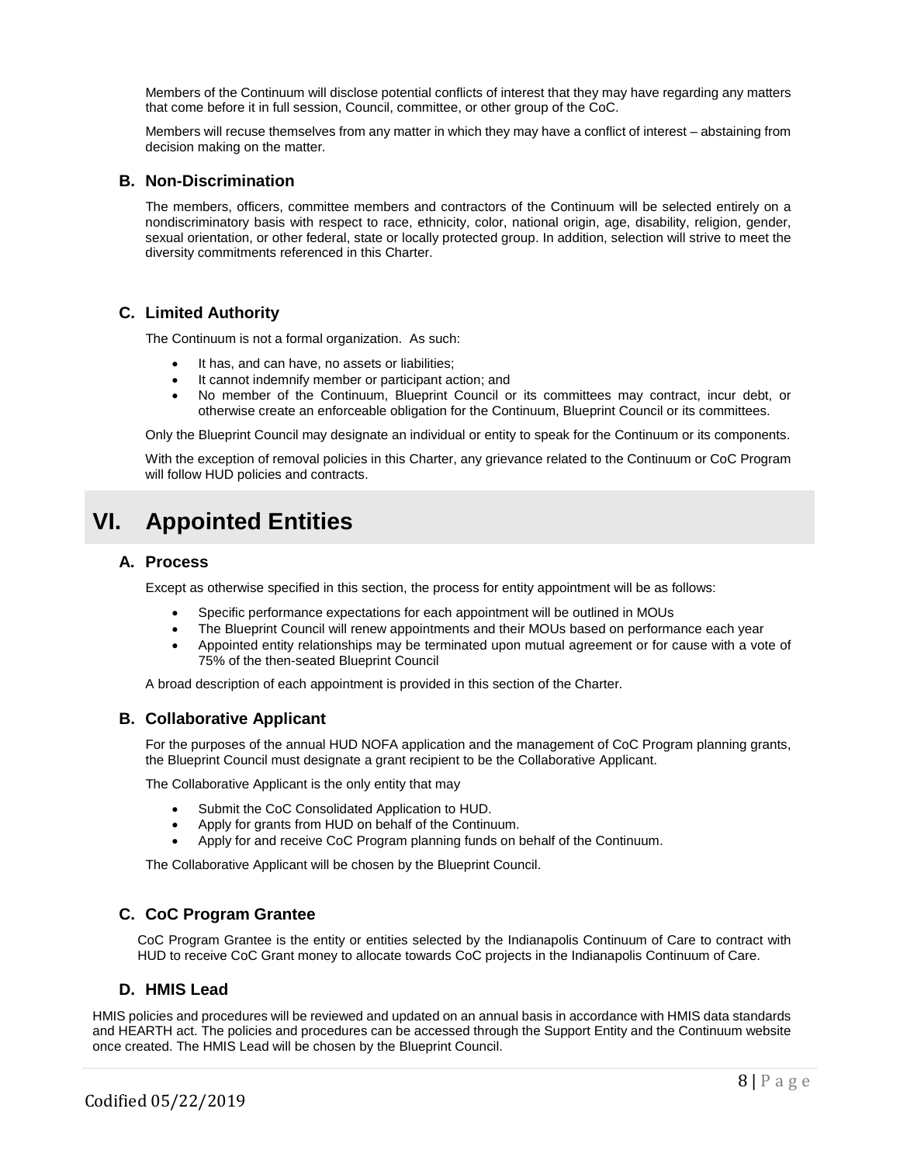Members of the Continuum will disclose potential conflicts of interest that they may have regarding any matters that come before it in full session, Council, committee, or other group of the CoC.

Members will recuse themselves from any matter in which they may have a conflict of interest – abstaining from decision making on the matter.

### **B. Non-Discrimination**

The members, officers, committee members and contractors of the Continuum will be selected entirely on a nondiscriminatory basis with respect to race, ethnicity, color, national origin, age, disability, religion, gender, sexual orientation, or other federal, state or locally protected group. In addition, selection will strive to meet the diversity commitments referenced in this Charter.

### **C. Limited Authority**

The Continuum is not a formal organization. As such:

- It has, and can have, no assets or liabilities;
- It cannot indemnify member or participant action; and
- No member of the Continuum, Blueprint Council or its committees may contract, incur debt, or otherwise create an enforceable obligation for the Continuum, Blueprint Council or its committees.

Only the Blueprint Council may designate an individual or entity to speak for the Continuum or its components.

With the exception of removal policies in this Charter, any grievance related to the Continuum or CoC Program will follow HUD policies and contracts.

## **VI. Appointed Entities**

### **A. Process**

Except as otherwise specified in this section, the process for entity appointment will be as follows:

- Specific performance expectations for each appointment will be outlined in MOUs
- The Blueprint Council will renew appointments and their MOUs based on performance each year
- Appointed entity relationships may be terminated upon mutual agreement or for cause with a vote of 75% of the then-seated Blueprint Council

A broad description of each appointment is provided in this section of the Charter.

### **B. Collaborative Applicant**

For the purposes of the annual HUD NOFA application and the management of CoC Program planning grants, the Blueprint Council must designate a grant recipient to be the Collaborative Applicant.

The Collaborative Applicant is the only entity that may

- Submit the CoC Consolidated Application to HUD.
- Apply for grants from HUD on behalf of the Continuum.
- Apply for and receive CoC Program planning funds on behalf of the Continuum.

The Collaborative Applicant will be chosen by the Blueprint Council.

### **C. CoC Program Grantee**

CoC Program Grantee is the entity or entities selected by the Indianapolis Continuum of Care to contract with HUD to receive CoC Grant money to allocate towards CoC projects in the Indianapolis Continuum of Care.

#### **D. HMIS Lead**

HMIS policies and procedures will be reviewed and updated on an annual basis in accordance with HMIS data standards and HEARTH act. The policies and procedures can be accessed through the Support Entity and the Continuum website once created. The HMIS Lead will be chosen by the Blueprint Council.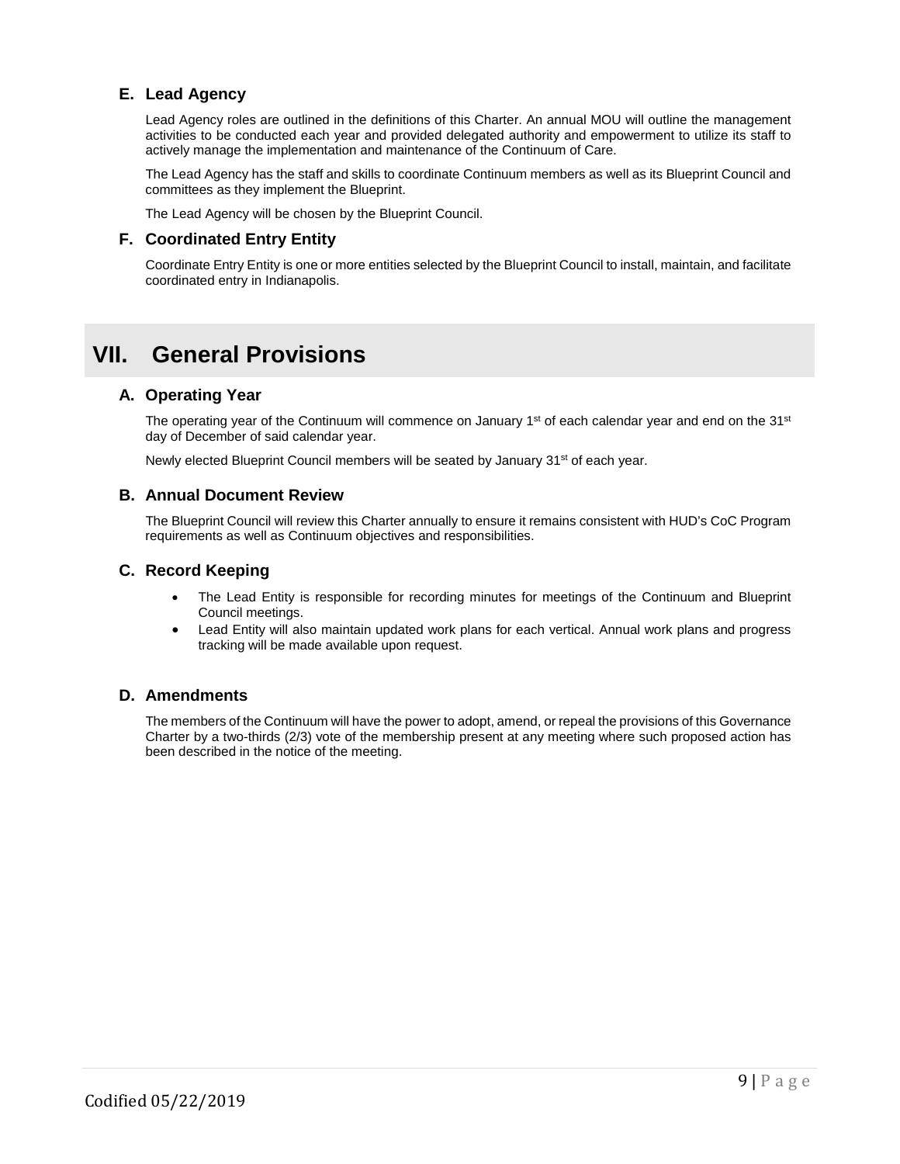## **E. Lead Agency**

Lead Agency roles are outlined in the definitions of this Charter. An annual MOU will outline the management activities to be conducted each year and provided delegated authority and empowerment to utilize its staff to actively manage the implementation and maintenance of the Continuum of Care.

The Lead Agency has the staff and skills to coordinate Continuum members as well as its Blueprint Council and committees as they implement the Blueprint.

The Lead Agency will be chosen by the Blueprint Council.

### **F. Coordinated Entry Entity**

Coordinate Entry Entity is one or more entities selected by the Blueprint Council to install, maintain, and facilitate coordinated entry in Indianapolis.

## **VII. General Provisions**

### **A. Operating Year**

The operating year of the Continuum will commence on January 1<sup>st</sup> of each calendar year and end on the 31<sup>st</sup> day of December of said calendar year.

Newly elected Blueprint Council members will be seated by January 31<sup>st</sup> of each year.

#### **B. Annual Document Review**

The Blueprint Council will review this Charter annually to ensure it remains consistent with HUD's CoC Program requirements as well as Continuum objectives and responsibilities.

### **C. Record Keeping**

- The Lead Entity is responsible for recording minutes for meetings of the Continuum and Blueprint Council meetings.
- Lead Entity will also maintain updated work plans for each vertical. Annual work plans and progress tracking will be made available upon request.

### **D. Amendments**

The members of the Continuum will have the power to adopt, amend, or repeal the provisions of this Governance Charter by a two-thirds (2/3) vote of the membership present at any meeting where such proposed action has been described in the notice of the meeting.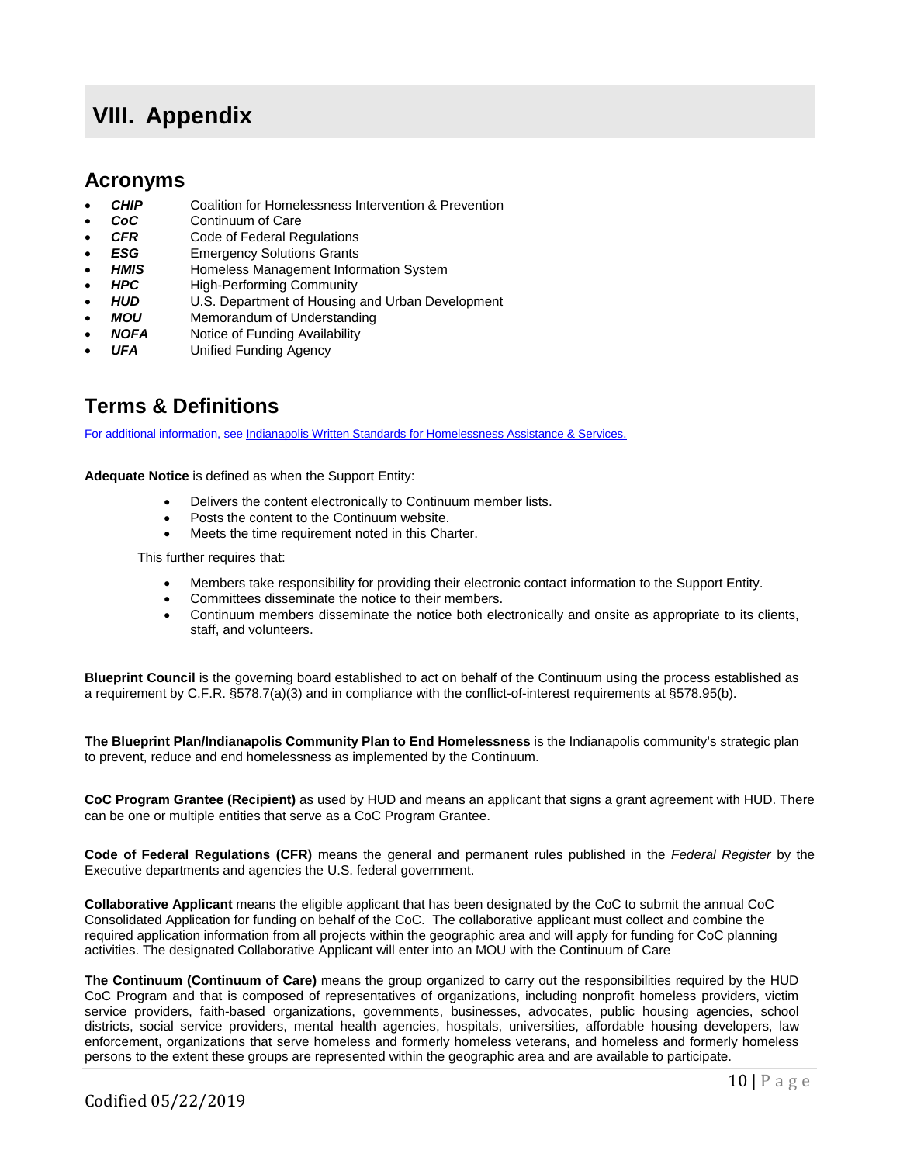## **VIII. Appendix**

## **Acronyms**

- **CHIP** Coalition for Homelessness Intervention & Prevention
- **CoC** Continuum of Care<br>**CFR** Code of Federal Re
- **Code of Federal Regulations**
- **ESG** Emergency Solutions Grants<br> **HMIS** Homeless Management Infor
- **HMIS Homeless Management Information System**<br>**HPC High-Performing Community**
- **HPC** High-Performing Community<br>**HUD** U.S. Department of Housing
- **HUD** U.S. Department of Housing and Urban Development<br>**MOU** Memorandum of Understanding
- **Memorandum of Understanding**
- **NOFA** Notice of Funding Availability
- **UFA** Unified Funding Agency

## **Terms & Definitions**

For additional information, se[e Indianapolis Written Standards for Homelessness Assistance & Services.](https://www.indycoc.org/programs-policies/programs-policies-overview)

**Adequate Notice** is defined as when the Support Entity:

- Delivers the content electronically to Continuum member lists.
- Posts the content to the Continuum website.
- Meets the time requirement noted in this Charter.

This further requires that:

- Members take responsibility for providing their electronic contact information to the Support Entity.
- Committees disseminate the notice to their members.
- Continuum members disseminate the notice both electronically and onsite as appropriate to its clients, staff, and volunteers.

**Blueprint Council** is the governing board established to act on behalf of the Continuum using the process established as a requirement by C.F.R. §578.7(a)(3) and in compliance with the conflict-of-interest requirements at §578.95(b).

**The Blueprint Plan/Indianapolis Community Plan to End Homelessness** is the Indianapolis community's strategic plan to prevent, reduce and end homelessness as implemented by the Continuum.

**CoC Program Grantee (Recipient)** as used by HUD and means an applicant that signs a grant agreement with HUD. There can be one or multiple entities that serve as a CoC Program Grantee.

**Code of Federal Regulations (CFR)** means the general and permanent rules published in the *Federal Register* by the Executive departments and agencies the U.S. federal government.

**Collaborative Applicant** means the eligible applicant that has been designated by the CoC to submit the annual CoC Consolidated Application for funding on behalf of the CoC. The collaborative applicant must collect and combine the required application information from all projects within the geographic area and will apply for funding for CoC planning activities. The designated Collaborative Applicant will enter into an MOU with the Continuum of Care

**The Continuum (Continuum of Care)** means the group organized to carry out the responsibilities required by the HUD CoC Program and that is composed of representatives of organizations, including nonprofit homeless providers, victim service providers, faith-based organizations, governments, businesses, advocates, public housing agencies, school districts, social service providers, mental health agencies, hospitals, universities, affordable housing developers, law enforcement, organizations that serve homeless and formerly homeless veterans, and homeless and formerly homeless persons to the extent these groups are represented within the geographic area and are available to participate.